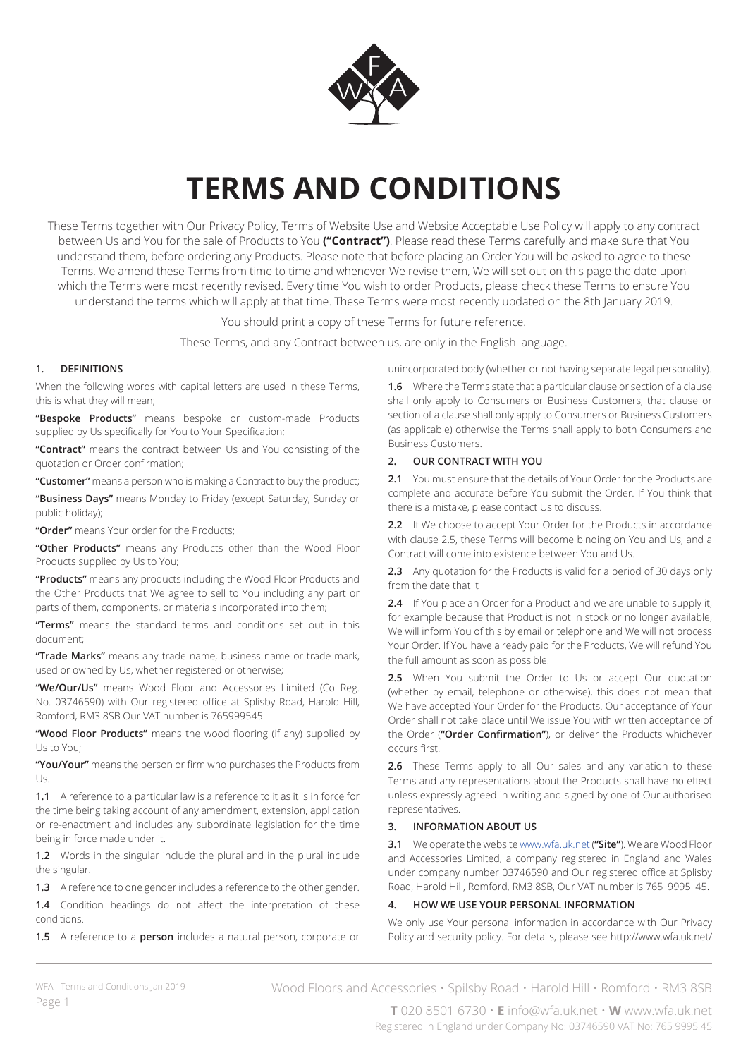

# **TERMS AND CONDITIONS**

These Terms together with Our Privacy Policy, Terms of Website Use and Website Acceptable Use Policy will apply to any contract between Us and You for the sale of Products to You **("Contract")**. Please read these Terms carefully and make sure that You understand them, before ordering any Products. Please note that before placing an Order You will be asked to agree to these Terms. We amend these Terms from time to time and whenever We revise them, We will set out on this page the date upon which the Terms were most recently revised. Every time You wish to order Products, please check these Terms to ensure You understand the terms which will apply at that time. These Terms were most recently updated on the 8th January 2019.

You should print a copy of these Terms for future reference.

These Terms, and any Contract between us, are only in the English language.

# **1. DEFINITIONS**

When the following words with capital letters are used in these Terms, this is what they will mean;

**"Bespoke Products"** means bespoke or custom-made Products supplied by Us specifically for You to Your Specification;

**"Contract"** means the contract between Us and You consisting of the quotation or Order confirmation;

**"Customer"** means a person who is making a Contract to buy the product;

**"Business Days"** means Monday to Friday (except Saturday, Sunday or public holiday);

**"Order"** means Your order for the Products;

**"Other Products"** means any Products other than the Wood Floor Products supplied by Us to You;

**"Products"** means any products including the Wood Floor Products and the Other Products that We agree to sell to You including any part or parts of them, components, or materials incorporated into them;

**"Terms"** means the standard terms and conditions set out in this document;

**"Trade Marks"** means any trade name, business name or trade mark, used or owned by Us, whether registered or otherwise;

**"We/Our/Us"** means Wood Floor and Accessories Limited (Co Reg. No. 03746590) with Our registered office at Splisby Road, Harold Hill, Romford, RM3 8SB Our VAT number is 765999545

**"Wood Floor Products"** means the wood flooring (if any) supplied by Us to You;

**"You/Your"** means the person or firm who purchases the Products from Us.

**1.1** A reference to a particular law is a reference to it as it is in force for the time being taking account of any amendment, extension, application or re-enactment and includes any subordinate legislation for the time being in force made under it.

**1.2** Words in the singular include the plural and in the plural include the singular.

**1.3** A reference to one gender includes a reference to the other gender.

**1.4** Condition headings do not affect the interpretation of these conditions.

**1.5** A reference to a **person** includes a natural person, corporate or

unincorporated body (whether or not having separate legal personality).

**1.6** Where the Terms state that a particular clause or section of a clause shall only apply to Consumers or Business Customers, that clause or section of a clause shall only apply to Consumers or Business Customers (as applicable) otherwise the Terms shall apply to both Consumers and Business Customers.

## **2. OUR CONTRACT WITH YOU**

**2.1** You must ensure that the details of Your Order for the Products are complete and accurate before You submit the Order. If You think that there is a mistake, please contact Us to discuss.

**2.2** If We choose to accept Your Order for the Products in accordance with clause 2.5, these Terms will become binding on You and Us, and a Contract will come into existence between You and Us.

**2.3** Any quotation for the Products is valid for a period of 30 days only from the date that it

**2.4** If You place an Order for a Product and we are unable to supply it, for example because that Product is not in stock or no longer available, We will inform You of this by email or telephone and We will not process Your Order. If You have already paid for the Products, We will refund You the full amount as soon as possible.

2.5 When You submit the Order to Us or accept Our quotation (whether by email, telephone or otherwise), this does not mean that We have accepted Your Order for the Products. Our acceptance of Your Order shall not take place until We issue You with written acceptance of the Order (**"Order Confirmation"**), or deliver the Products whichever occurs first.

**2.6** These Terms apply to all Our sales and any variation to these Terms and any representations about the Products shall have no effect unless expressly agreed in writing and signed by one of Our authorised representatives.

## **3. INFORMATION ABOUT US**

**3.1** We operate the website www.wfa.uk.net (**"Site"**). We are Wood Floor and Accessories Limited, a company registered in England and Wales under company number 03746590 and Our registered office at Splisby Road, Harold Hill, Romford, RM3 8SB, Our VAT number is 765 9995 45.

# **4. HOW WE USE YOUR PERSONAL INFORMATION**

We only use Your personal information in accordance with Our Privacy Policy and security policy. For details, please see http://www.wfa.uk.net/

Wood Floors and Accessories • Spilsby Road • Harold Hill • Romford • RM3 8SB

**T** 020 8501 6730 • **E** info@wfa.uk.net • **W** www.wfa.uk.net Registered in England under Company No: 03746590 VAT No: 765 9995 45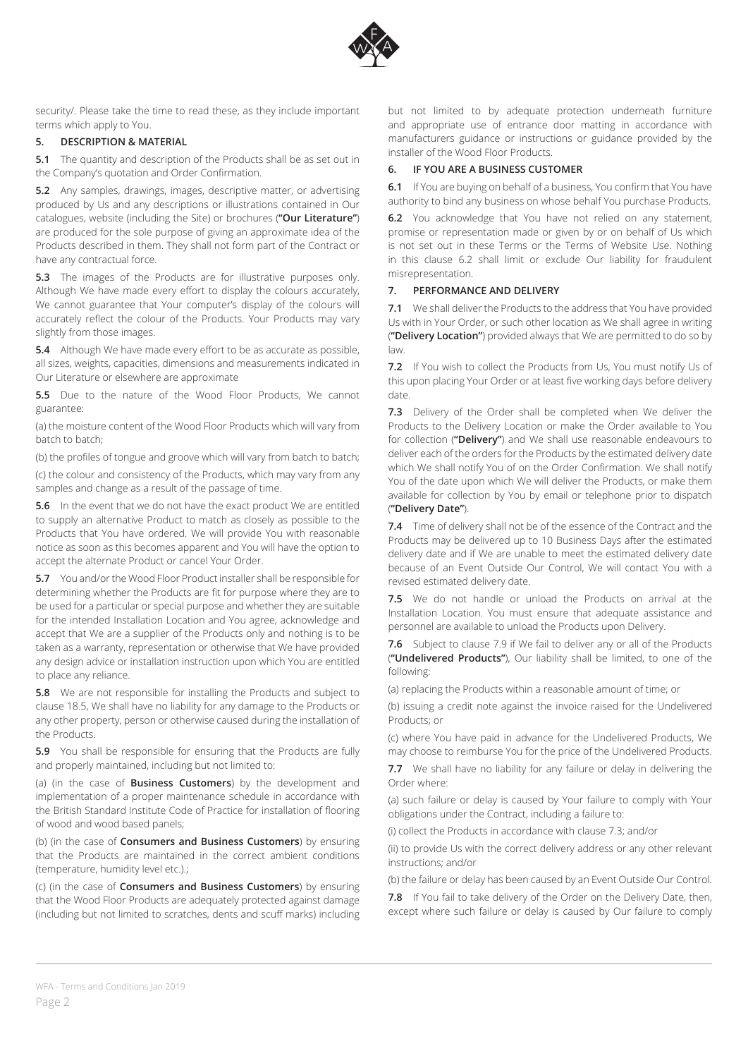

security/. Please take the time to read these, as they include important terms which apply to You.

## **5. DESCRIPTION & MATERIAL**

**5.1** The quantity and description of the Products shall be as set out in the Company's quotation and Order Confirmation.

**5.2** Any samples, drawings, images, descriptive matter, or advertising produced by Us and any descriptions or illustrations contained in Our catalogues, website (including the Site) or brochures (**"Our Literature"**) are produced for the sole purpose of giving an approximate idea of the Products described in them. They shall not form part of the Contract or have any contractual force.

**5.3** The images of the Products are for illustrative purposes only. Although We have made every effort to display the colours accurately, We cannot guarantee that Your computer's display of the colours will accurately reflect the colour of the Products. Your Products may vary slightly from those images.

**5.4** Although We have made every effort to be as accurate as possible, all sizes, weights, capacities, dimensions and measurements indicated in Our Literature or elsewhere are approximate

**5.5** Due to the nature of the Wood Floor Products, We cannot guarantee:

(a) the moisture content of the Wood Floor Products which will vary from batch to batch;

(b) the profiles of tongue and groove which will vary from batch to batch;

(c) the colour and consistency of the Products, which may vary from any samples and change as a result of the passage of time.

**5.6** In the event that we do not have the exact product We are entitled to supply an alternative Product to match as closely as possible to the Products that You have ordered. We will provide You with reasonable notice as soon as this becomes apparent and You will have the option to accept the alternate Product or cancel Your Order.

**5.7** You and/or the Wood Floor Product installer shall be responsible for determining whether the Products are fit for purpose where they are to be used for a particular or special purpose and whether they are suitable for the intended Installation Location and You agree, acknowledge and accept that We are a supplier of the Products only and nothing is to be taken as a warranty, representation or otherwise that We have provided any design advice or installation instruction upon which You are entitled to place any reliance.

**5.8** We are not responsible for installing the Products and subject to clause 18.5, We shall have no liability for any damage to the Products or any other property, person or otherwise caused during the installation of the Products.

**5.9** You shall be responsible for ensuring that the Products are fully and properly maintained, including but not limited to:

(a) (in the case of **Business Customers**) by the development and implementation of a proper maintenance schedule in accordance with the British Standard Institute Code of Practice for installation of flooring of wood and wood based panels;

(b) (in the case of **Consumers and Business Customers**) by ensuring that the Products are maintained in the correct ambient conditions (temperature, humidity level etc.).;

(c) (in the case of **Consumers and Business Customers**) by ensuring that the Wood Floor Products are adequately protected against damage (including but not limited to scratches, dents and scuff marks) including but not limited to by adequate protection underneath furniture and appropriate use of entrance door matting in accordance with manufacturers guidance or instructions or guidance provided by the installer of the Wood Floor Products.

## **6. IF YOU ARE A BUSINESS CUSTOMER**

**6.1** If You are buying on behalf of a business, You confirm that You have authority to bind any business on whose behalf You purchase Products.

**6.2** You acknowledge that You have not relied on any statement, promise or representation made or given by or on behalf of Us which is not set out in these Terms or the Terms of Website Use. Nothing in this clause 6.2 shall limit or exclude Our liability for fraudulent misrepresentation.

### **7. PERFORMANCE AND DELIVERY**

**7.1** We shall deliver the Products to the address that You have provided Us with in Your Order, or such other location as We shall agree in writing (**"Delivery Location"**) provided always that We are permitted to do so by law.

**7.2** If You wish to collect the Products from Us, You must notify Us of this upon placing Your Order or at least five working days before delivery date.

**7.3** Delivery of the Order shall be completed when We deliver the Products to the Delivery Location or make the Order available to You for collection (**"Delivery"**) and We shall use reasonable endeavours to deliver each of the orders for the Products by the estimated delivery date which We shall notify You of on the Order Confirmation. We shall notify You of the date upon which We will deliver the Products, or make them available for collection by You by email or telephone prior to dispatch (**"Delivery Date"**).

**7.4** Time of delivery shall not be of the essence of the Contract and the Products may be delivered up to 10 Business Days after the estimated delivery date and if We are unable to meet the estimated delivery date because of an Event Outside Our Control, We will contact You with a revised estimated delivery date.

**7.5** We do not handle or unload the Products on arrival at the Installation Location. You must ensure that adequate assistance and personnel are available to unload the Products upon Delivery.

**7.6** Subject to clause 7.9 if We fail to deliver any or all of the Products (**"Undelivered Products"**), Our liability shall be limited, to one of the following:

(a) replacing the Products within a reasonable amount of time; or

(b) issuing a credit note against the invoice raised for the Undelivered Products; or

(c) where You have paid in advance for the Undelivered Products, We may choose to reimburse You for the price of the Undelivered Products.

**7.7** We shall have no liability for any failure or delay in delivering the Order where:

(a) such failure or delay is caused by Your failure to comply with Your obligations under the Contract, including a failure to:

(i) collect the Products in accordance with clause 7.3; and/or

(ii) to provide Us with the correct delivery address or any other relevant instructions; and/or

(b) the failure or delay has been caused by an Event Outside Our Control.

**7.8** If You fail to take delivery of the Order on the Delivery Date, then, except where such failure or delay is caused by Our failure to comply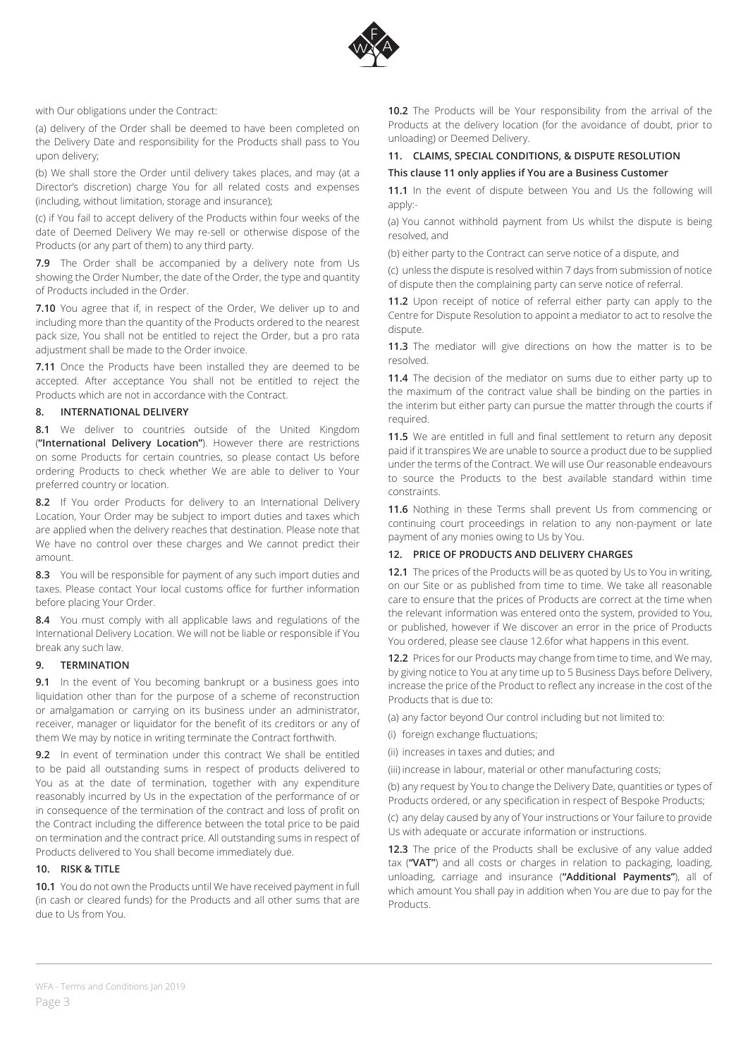

with Our obligations under the Contract:

(a) delivery of the Order shall be deemed to have been completed on the Delivery Date and responsibility for the Products shall pass to You upon delivery;

(b) We shall store the Order until delivery takes places, and may (at a Director's discretion) charge You for all related costs and expenses (including, without limitation, storage and insurance);

(c) if You fail to accept delivery of the Products within four weeks of the date of Deemed Delivery We may re-sell or otherwise dispose of the Products (or any part of them) to any third party.

**7.9** The Order shall be accompanied by a delivery note from Us showing the Order Number, the date of the Order, the type and quantity of Products included in the Order.

**7.10** You agree that if, in respect of the Order, We deliver up to and including more than the quantity of the Products ordered to the nearest pack size, You shall not be entitled to reject the Order, but a pro rata adjustment shall be made to the Order invoice.

**7.11** Once the Products have been installed they are deemed to be accepted. After acceptance You shall not be entitled to reject the Products which are not in accordance with the Contract.

### **8. INTERNATIONAL DELIVERY**

**8.1** We deliver to countries outside of the United Kingdom (**"International Delivery Location"**). However there are restrictions on some Products for certain countries, so please contact Us before ordering Products to check whether We are able to deliver to Your preferred country or location.

**8.2** If You order Products for delivery to an International Delivery Location, Your Order may be subject to import duties and taxes which are applied when the delivery reaches that destination. Please note that We have no control over these charges and We cannot predict their amount.

**8.3** You will be responsible for payment of any such import duties and taxes. Please contact Your local customs office for further information before placing Your Order.

**8.4** You must comply with all applicable laws and regulations of the International Delivery Location. We will not be liable or responsible if You break any such law.

### **9. TERMINATION**

**9.1** In the event of You becoming bankrupt or a business goes into liquidation other than for the purpose of a scheme of reconstruction or amalgamation or carrying on its business under an administrator, receiver, manager or liquidator for the benefit of its creditors or any of them We may by notice in writing terminate the Contract forthwith.

**9.2** In event of termination under this contract We shall be entitled to be paid all outstanding sums in respect of products delivered to You as at the date of termination, together with any expenditure reasonably incurred by Us in the expectation of the performance of or in consequence of the termination of the contract and loss of profit on the Contract including the difference between the total price to be paid on termination and the contract price. All outstanding sums in respect of Products delivered to You shall become immediately due.

## **10. RISK & TITLE**

**10.1** You do not own the Products until We have received payment in full (in cash or cleared funds) for the Products and all other sums that are due to Us from You.

**10.2** The Products will be Your responsibility from the arrival of the Products at the delivery location (for the avoidance of doubt, prior to unloading) or Deemed Delivery.

## **11. CLAIMS, SPECIAL CONDITIONS, & DISPUTE RESOLUTION**

#### **This clause 11 only applies if You are a Business Customer**

**11.1** In the event of dispute between You and Us the following will apply:-

(a) You cannot withhold payment from Us whilst the dispute is being resolved, and

(b) either party to the Contract can serve notice of a dispute, and

(c) unless the dispute is resolved within 7 days from submission of notice of dispute then the complaining party can serve notice of referral.

**11.2** Upon receipt of notice of referral either party can apply to the Centre for Dispute Resolution to appoint a mediator to act to resolve the dispute.

**11.3** The mediator will give directions on how the matter is to be resolved.

**11.4** The decision of the mediator on sums due to either party up to the maximum of the contract value shall be binding on the parties in the interim but either party can pursue the matter through the courts if required.

11.5 We are entitled in full and final settlement to return any deposit paid if it transpires We are unable to source a product due to be supplied under the terms of the Contract. We will use Our reasonable endeavours to source the Products to the best available standard within time constraints.

**11.6** Nothing in these Terms shall prevent Us from commencing or continuing court proceedings in relation to any non-payment or late payment of any monies owing to Us by You.

### **12. PRICE OF PRODUCTS AND DELIVERY CHARGES**

**12.1** The prices of the Products will be as quoted by Us to You in writing, on our Site or as published from time to time. We take all reasonable care to ensure that the prices of Products are correct at the time when the relevant information was entered onto the system, provided to You, or published, however if We discover an error in the price of Products You ordered, please see clause 12.6for what happens in this event.

**12.2** Prices for our Products may change from time to time, and We may, by giving notice to You at any time up to 5 Business Days before Delivery, increase the price of the Product to reflect any increase in the cost of the Products that is due to:

(a) any factor beyond Our control including but not limited to:

- (i) foreign exchange fluctuations;
- (ii) increases in taxes and duties; and
- (iii) increase in labour, material or other manufacturing costs;

(b) any request by You to change the Delivery Date, quantities or types of Products ordered, or any specification in respect of Bespoke Products;

(c) any delay caused by any of Your instructions or Your failure to provide Us with adequate or accurate information or instructions.

**12.3** The price of the Products shall be exclusive of any value added tax (**"VAT"**) and all costs or charges in relation to packaging, loading, unloading, carriage and insurance (**"Additional Payments"**), all of which amount You shall pay in addition when You are due to pay for the Products.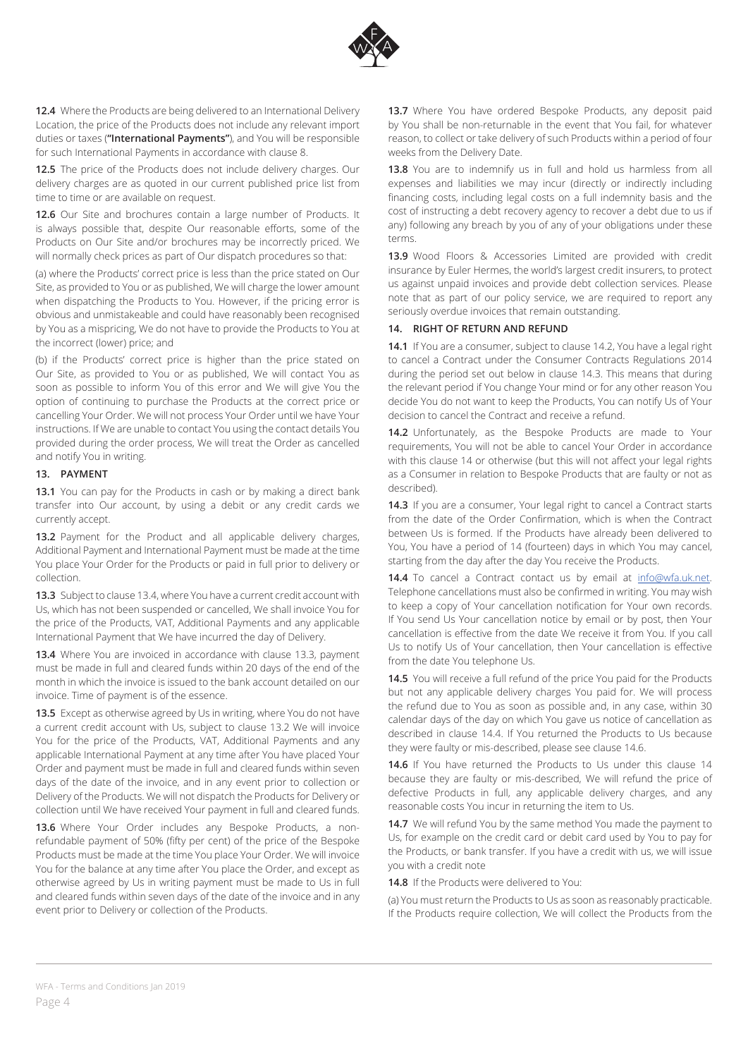

**12.4** Where the Products are being delivered to an International Delivery Location, the price of the Products does not include any relevant import duties or taxes (**"International Payments"**), and You will be responsible for such International Payments in accordance with clause 8.

**12.5** The price of the Products does not include delivery charges. Our delivery charges are as quoted in our current published price list from time to time or are available on request.

**12.6** Our Site and brochures contain a large number of Products. It is always possible that, despite Our reasonable efforts, some of the Products on Our Site and/or brochures may be incorrectly priced. We will normally check prices as part of Our dispatch procedures so that:

(a) where the Products' correct price is less than the price stated on Our Site, as provided to You or as published, We will charge the lower amount when dispatching the Products to You. However, if the pricing error is obvious and unmistakeable and could have reasonably been recognised by You as a mispricing, We do not have to provide the Products to You at the incorrect (lower) price; and

(b) if the Products' correct price is higher than the price stated on Our Site, as provided to You or as published, We will contact You as soon as possible to inform You of this error and We will give You the option of continuing to purchase the Products at the correct price or cancelling Your Order. We will not process Your Order until we have Your instructions. If We are unable to contact You using the contact details You provided during the order process, We will treat the Order as cancelled and notify You in writing.

## **13. PAYMENT**

13.1 You can pay for the Products in cash or by making a direct bank transfer into Our account, by using a debit or any credit cards we currently accept.

13.2 Payment for the Product and all applicable delivery charges, Additional Payment and International Payment must be made at the time You place Your Order for the Products or paid in full prior to delivery or collection.

**13.3** Subject to clause 13.4, where You have a current credit account with Us, which has not been suspended or cancelled, We shall invoice You for the price of the Products, VAT, Additional Payments and any applicable International Payment that We have incurred the day of Delivery.

**13.4** Where You are invoiced in accordance with clause 13.3, payment must be made in full and cleared funds within 20 days of the end of the month in which the invoice is issued to the bank account detailed on our invoice. Time of payment is of the essence.

**13.5** Except as otherwise agreed by Us in writing, where You do not have a current credit account with Us, subject to clause 13.2 We will invoice You for the price of the Products, VAT, Additional Payments and any applicable International Payment at any time after You have placed Your Order and payment must be made in full and cleared funds within seven days of the date of the invoice, and in any event prior to collection or Delivery of the Products. We will not dispatch the Products for Delivery or collection until We have received Your payment in full and cleared funds.

**13.6** Where Your Order includes any Bespoke Products, a nonrefundable payment of 50% (fifty per cent) of the price of the Bespoke Products must be made at the time You place Your Order. We will invoice You for the balance at any time after You place the Order, and except as otherwise agreed by Us in writing payment must be made to Us in full and cleared funds within seven days of the date of the invoice and in any event prior to Delivery or collection of the Products.

**13.7** Where You have ordered Bespoke Products, any deposit paid by You shall be non-returnable in the event that You fail, for whatever reason, to collect or take delivery of such Products within a period of four weeks from the Delivery Date.

**13.8** You are to indemnify us in full and hold us harmless from all expenses and liabilities we may incur (directly or indirectly including financing costs, including legal costs on a full indemnity basis and the cost of instructing a debt recovery agency to recover a debt due to us if any) following any breach by you of any of your obligations under these terms.

**13.9** Wood Floors & Accessories Limited are provided with credit insurance by Euler Hermes, the world's largest credit insurers, to protect us against unpaid invoices and provide debt collection services. Please note that as part of our policy service, we are required to report any seriously overdue invoices that remain outstanding.

## **14. RIGHT OF RETURN AND REFUND**

**14.1** If You are a consumer, subject to clause 14.2, You have a legal right to cancel a Contract under the Consumer Contracts Regulations 2014 during the period set out below in clause 14.3. This means that during the relevant period if You change Your mind or for any other reason You decide You do not want to keep the Products, You can notify Us of Your decision to cancel the Contract and receive a refund.

**14.2** Unfortunately, as the Bespoke Products are made to Your requirements, You will not be able to cancel Your Order in accordance with this clause 14 or otherwise (but this will not affect your legal rights as a Consumer in relation to Bespoke Products that are faulty or not as described).

**14.3** If you are a consumer, Your legal right to cancel a Contract starts from the date of the Order Confirmation, which is when the Contract between Us is formed. If the Products have already been delivered to You, You have a period of 14 (fourteen) days in which You may cancel, starting from the day after the day You receive the Products.

14.4 To cancel a Contract contact us by email at info@wfa.uk.net. Telephone cancellations must also be confirmed in writing. You may wish to keep a copy of Your cancellation notification for Your own records. If You send Us Your cancellation notice by email or by post, then Your cancellation is effective from the date We receive it from You. If you call Us to notify Us of Your cancellation, then Your cancellation is effective from the date You telephone Us.

**14.5** You will receive a full refund of the price You paid for the Products but not any applicable delivery charges You paid for. We will process the refund due to You as soon as possible and, in any case, within 30 calendar days of the day on which You gave us notice of cancellation as described in clause 14.4. If You returned the Products to Us because they were faulty or mis-described, please see clause 14.6.

**14.6** If You have returned the Products to Us under this clause 14 because they are faulty or mis-described, We will refund the price of defective Products in full, any applicable delivery charges, and any reasonable costs You incur in returning the item to Us.

14.7 We will refund You by the same method You made the payment to Us, for example on the credit card or debit card used by You to pay for the Products, or bank transfer. If you have a credit with us, we will issue you with a credit note

**14.8** If the Products were delivered to You:

(a) You must return the Products to Us as soon as reasonably practicable. If the Products require collection, We will collect the Products from the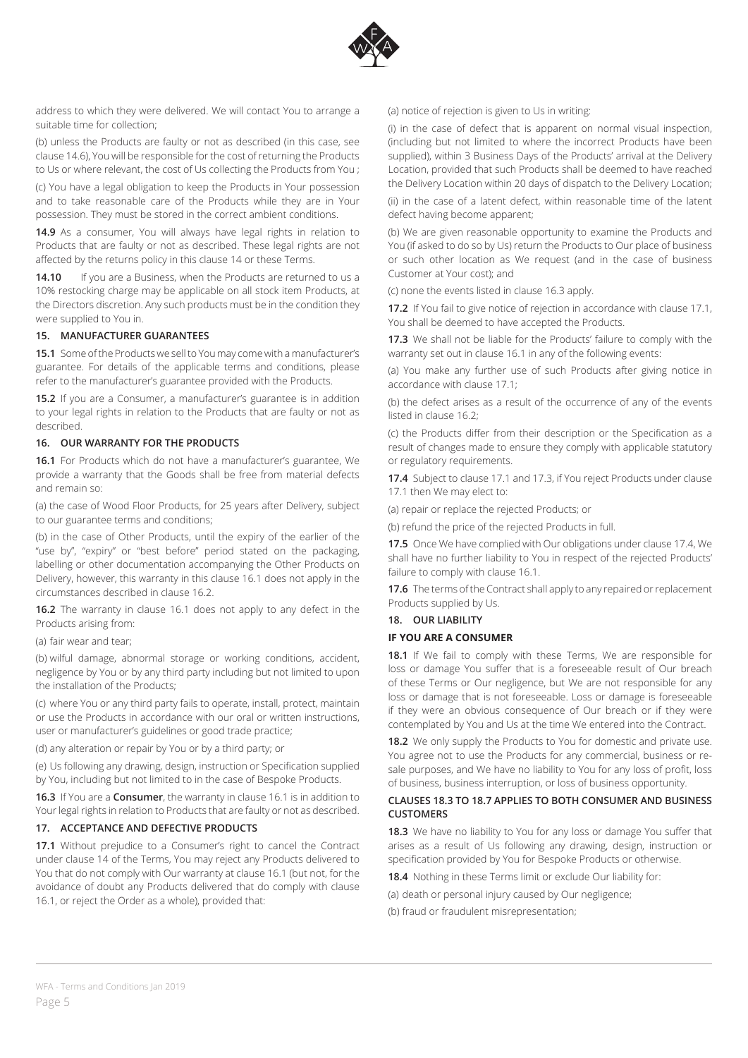

address to which they were delivered. We will contact You to arrange a suitable time for collection;

(b) unless the Products are faulty or not as described (in this case, see clause 14.6), You will be responsible for the cost of returning the Products to Us or where relevant, the cost of Us collecting the Products from You ;

(c) You have a legal obligation to keep the Products in Your possession and to take reasonable care of the Products while they are in Your possession. They must be stored in the correct ambient conditions.

**14.9** As a consumer, You will always have legal rights in relation to Products that are faulty or not as described. These legal rights are not affected by the returns policy in this clause 14 or these Terms.

**14.10** If you are a Business, when the Products are returned to us a 10% restocking charge may be applicable on all stock item Products, at the Directors discretion. Any such products must be in the condition they were supplied to You in.

## **15. MANUFACTURER GUARANTEES**

**15.1** Some of the Products we sell to You may come with a manufacturer's guarantee. For details of the applicable terms and conditions, please refer to the manufacturer's guarantee provided with the Products.

**15.2** If you are a Consumer, a manufacturer's guarantee is in addition to your legal rights in relation to the Products that are faulty or not as described.

### **16. OUR WARRANTY FOR THE PRODUCTS**

**16.1** For Products which do not have a manufacturer's guarantee, We provide a warranty that the Goods shall be free from material defects and remain so:

(a) the case of Wood Floor Products, for 25 years after Delivery, subject to our guarantee terms and conditions;

(b) in the case of Other Products, until the expiry of the earlier of the "use by", "expiry" or "best before" period stated on the packaging, labelling or other documentation accompanying the Other Products on Delivery, however, this warranty in this clause 16.1 does not apply in the circumstances described in clause 16.2.

**16.2** The warranty in clause 16.1 does not apply to any defect in the Products arising from:

(a) fair wear and tear;

(b) wilful damage, abnormal storage or working conditions, accident, negligence by You or by any third party including but not limited to upon the installation of the Products;

(c) where You or any third party fails to operate, install, protect, maintain or use the Products in accordance with our oral or written instructions, user or manufacturer's guidelines or good trade practice;

(d) any alteration or repair by You or by a third party; or

(e) Us following any drawing, design, instruction or Specification supplied by You, including but not limited to in the case of Bespoke Products.

**16.3** If You are a **Consumer**, the warranty in clause 16.1 is in addition to Your legal rights in relation to Products that are faulty or not as described.

### **17. ACCEPTANCE AND DEFECTIVE PRODUCTS**

**17.1** Without prejudice to a Consumer's right to cancel the Contract under clause 14 of the Terms, You may reject any Products delivered to You that do not comply with Our warranty at clause 16.1 (but not, for the avoidance of doubt any Products delivered that do comply with clause 16.1, or reject the Order as a whole), provided that:

### (a) notice of rejection is given to Us in writing:

(i) in the case of defect that is apparent on normal visual inspection, (including but not limited to where the incorrect Products have been supplied), within 3 Business Days of the Products' arrival at the Delivery Location, provided that such Products shall be deemed to have reached the Delivery Location within 20 days of dispatch to the Delivery Location;

(ii) in the case of a latent defect, within reasonable time of the latent defect having become apparent;

(b) We are given reasonable opportunity to examine the Products and You (if asked to do so by Us) return the Products to Our place of business or such other location as We request (and in the case of business Customer at Your cost); and

(c) none the events listed in clause 16.3 apply.

**17.2** If You fail to give notice of rejection in accordance with clause 17.1, You shall be deemed to have accepted the Products.

**17.3** We shall not be liable for the Products' failure to comply with the warranty set out in clause 16.1 in any of the following events:

(a) You make any further use of such Products after giving notice in accordance with clause 17.1;

(b) the defect arises as a result of the occurrence of any of the events listed in clause 16.2;

(c) the Products differ from their description or the Specification as a result of changes made to ensure they comply with applicable statutory or regulatory requirements.

**17.4** Subject to clause 17.1 and 17.3, if You reject Products under clause 17.1 then We may elect to:

(a) repair or replace the rejected Products; or

(b) refund the price of the rejected Products in full.

**17.5** Once We have complied with Our obligations under clause 17.4, We shall have no further liability to You in respect of the rejected Products' failure to comply with clause 16.1.

**17.6** The terms of the Contract shall apply to any repaired or replacement Products supplied by Us.

#### **18. OUR LIABILITY**

### **IF YOU ARE A CONSUMER**

**18.1** If We fail to comply with these Terms, We are responsible for loss or damage You suffer that is a foreseeable result of Our breach of these Terms or Our negligence, but We are not responsible for any loss or damage that is not foreseeable. Loss or damage is foreseeable if they were an obvious consequence of Our breach or if they were contemplated by You and Us at the time We entered into the Contract.

**18.2** We only supply the Products to You for domestic and private use. You agree not to use the Products for any commercial, business or resale purposes, and We have no liability to You for any loss of profit, loss of business, business interruption, or loss of business opportunity.

## **CLAUSES 18.3 TO 18.7 APPLIES TO BOTH CONSUMER AND BUSINESS CUSTOMERS**

**18.3** We have no liability to You for any loss or damage You suffer that arises as a result of Us following any drawing, design, instruction or specification provided by You for Bespoke Products or otherwise.

**18.4** Nothing in these Terms limit or exclude Our liability for:

(a) death or personal injury caused by Our negligence;

(b) fraud or fraudulent misrepresentation;